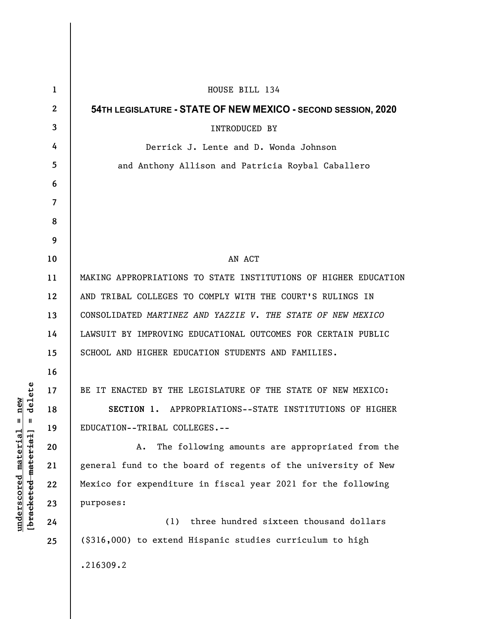| 1            | HOUSE BILL 134                                                  |
|--------------|-----------------------------------------------------------------|
| $\mathbf{2}$ | 54TH LEGISLATURE - STATE OF NEW MEXICO - SECOND SESSION, 2020   |
| 3            | <b>INTRODUCED BY</b>                                            |
| 4            | Derrick J. Lente and D. Wonda Johnson                           |
| 5            | and Anthony Allison and Patricia Roybal Caballero               |
| 6            |                                                                 |
| 7            |                                                                 |
| 8            |                                                                 |
| 9            |                                                                 |
| 10           | AN ACT                                                          |
| 11           | MAKING APPROPRIATIONS TO STATE INSTITUTIONS OF HIGHER EDUCATION |
| 12           | AND TRIBAL COLLEGES TO COMPLY WITH THE COURT'S RULINGS IN       |
| 13           | CONSOLIDATED MARTINEZ AND YAZZIE V. THE STATE OF NEW MEXICO     |
| 14           | LAWSUIT BY IMPROVING EDUCATIONAL OUTCOMES FOR CERTAIN PUBLIC    |
| 15           | SCHOOL AND HIGHER EDUCATION STUDENTS AND FAMILIES.              |
| 16           |                                                                 |
| 17           | BE IT ENACTED BY THE LEGISLATURE OF THE STATE OF NEW MEXICO:    |
| 18           | SECTION 1. APPROPRIATIONS--STATE INSTITUTIONS OF HIGHER         |
| 19           | EDUCATION--TRIBAL COLLEGES.--                                   |
| 20           | The following amounts are appropriated from the<br>A.           |
| 21           | general fund to the board of regents of the university of New   |
| 22           | Mexico for expenditure in fiscal year 2021 for the following    |
| 23           | purposes:                                                       |
| 24           | three hundred sixteen thousand dollars<br>(1)                   |
| 25           | (\$316,000) to extend Hispanic studies curriculum to high       |
|              | .216309.2                                                       |
|              |                                                                 |

**underscored material = new [bracketed material] = delete**

 $[**bracket eted metert et**] = **del et e**$  $underscored material = new$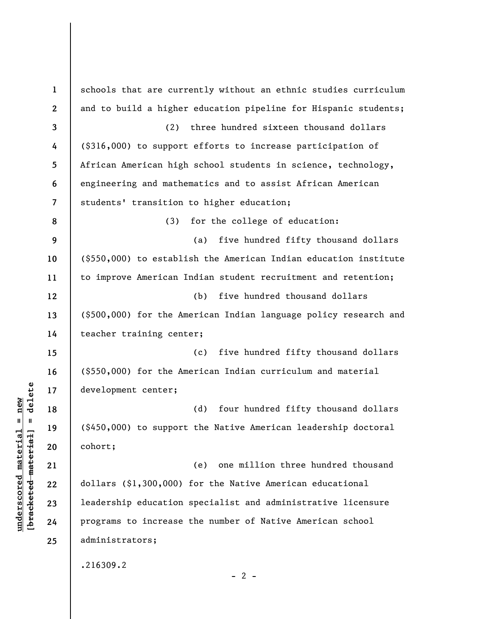**1 2 3 4 5 6 7 8 9 10 11 12 13 14 15 16 17 18 19 20 21 22 23 24 25**  schools that are currently without an ethnic studies curriculum and to build a higher education pipeline for Hispanic students; (2) three hundred sixteen thousand dollars (\$316,000) to support efforts to increase participation of African American high school students in science, technology, engineering and mathematics and to assist African American students' transition to higher education; (3) for the college of education: (a) five hundred fifty thousand dollars (\$550,000) to establish the American Indian education institute to improve American Indian student recruitment and retention; (b) five hundred thousand dollars (\$500,000) for the American Indian language policy research and teacher training center; (c) five hundred fifty thousand dollars (\$550,000) for the American Indian curriculum and material development center; (d) four hundred fifty thousand dollars (\$450,000) to support the Native American leadership doctoral cohort; (e) one million three hundred thousand dollars (\$1,300,000) for the Native American educational leadership education specialist and administrative licensure programs to increase the number of Native American school administrators; .216309.2  $- 2 -$ 

**underscored material = new [bracketed material] = delete**

 $b$ racketed material] = delete  $underscored material = new$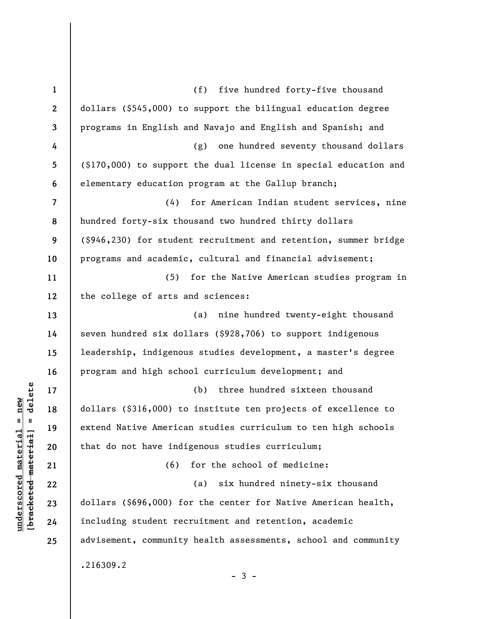**1 2 3 4 5 6 7 8 9 10 11 12 13 14 15 16 17 18 19 20 21 22 23 24 25**  (f) five hundred forty-five thousand dollars (\$545,000) to support the bilingual education degree programs in English and Navajo and English and Spanish; and (g) one hundred seventy thousand dollars (\$170,000) to support the dual license in special education and elementary education program at the Gallup branch; (4) for American Indian student services, nine hundred forty-six thousand two hundred thirty dollars (\$946,230) for student recruitment and retention, summer bridge programs and academic, cultural and financial advisement; (5) for the Native American studies program in the college of arts and sciences: (a) nine hundred twenty-eight thousand seven hundred six dollars (\$928,706) to support indigenous leadership, indigenous studies development, a master's degree program and high school curriculum development; and (b) three hundred sixteen thousand dollars (\$316,000) to institute ten projects of excellence to extend Native American studies curriculum to ten high schools that do not have indigenous studies curriculum; (6) for the school of medicine: (a) six hundred ninety-six thousand dollars (\$696,000) for the center for Native American health, including student recruitment and retention, academic advisement, community health assessments, school and community .216309.2  $-3 -$ 

**underscored material = new [bracketed material] = delete**

 $\frac{1}{2}$  of  $\frac{1}{2}$  and  $\frac{1}{2}$  and  $\frac{1}{2}$  and  $\frac{1}{2}$  and  $\frac{1}{2}$  and  $\frac{1}{2}$  and  $\frac{1}{2}$  and  $\frac{1}{2}$  and  $\frac{1}{2}$  and  $\frac{1}{2}$  and  $\frac{1}{2}$  and  $\frac{1}{2}$  and  $\frac{1}{2}$  and  $\frac{1}{2}$  and  $\frac{1}{2}$  an  $underscored material = new$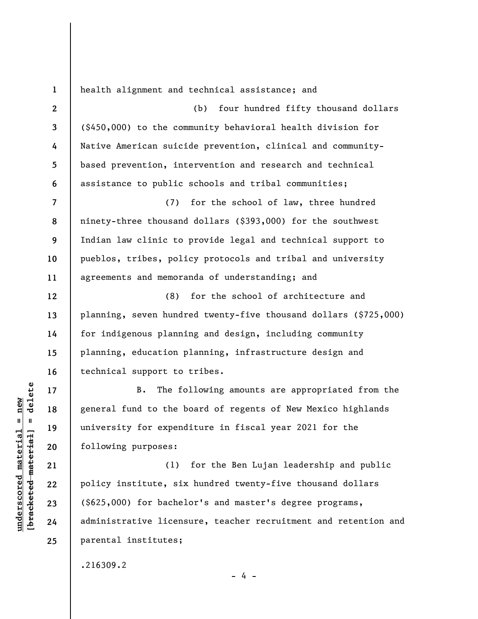**1**  health alignment and technical assistance; and

**2 3 4 5 6 7 8 9 10**  (b) four hundred fifty thousand dollars (\$450,000) to the community behavioral health division for Native American suicide prevention, clinical and communitybased prevention, intervention and research and technical assistance to public schools and tribal communities; (7) for the school of law, three hundred ninety-three thousand dollars (\$393,000) for the southwest Indian law clinic to provide legal and technical support to pueblos, tribes, policy protocols and tribal and university

(8) for the school of architecture and planning, seven hundred twenty-five thousand dollars (\$725,000) for indigenous planning and design, including community planning, education planning, infrastructure design and technical support to tribes.

agreements and memoranda of understanding; and

B. The following amounts are appropriated from the general fund to the board of regents of New Mexico highlands university for expenditure in fiscal year 2021 for the following purposes:

(1) for the Ben Lujan leadership and public policy institute, six hundred twenty-five thousand dollars (\$625,000) for bachelor's and master's degree programs, administrative licensure, teacher recruitment and retention and parental institutes;

- 4 -

.216309.2

 $\frac{1}{2}$  of  $\frac{1}{2}$  and  $\frac{1}{2}$  and  $\frac{1}{2}$  and  $\frac{1}{2}$  and  $\frac{1}{2}$  and  $\frac{1}{2}$  and  $\frac{1}{2}$  and  $\frac{1}{2}$  and  $\frac{1}{2}$  and  $\frac{1}{2}$  and  $\frac{1}{2}$  and  $\frac{1}{2}$  and  $\frac{1}{2}$  and  $\frac{1}{2}$  and  $\frac{1}{2}$  an **[bracketed material] = delete**  $anderscored material = new$ **underscored material = new**

**11** 

**12** 

**13** 

**14** 

**15** 

**16** 

**17** 

**18** 

**19** 

**20** 

**21** 

**22** 

**23** 

**24** 

**25**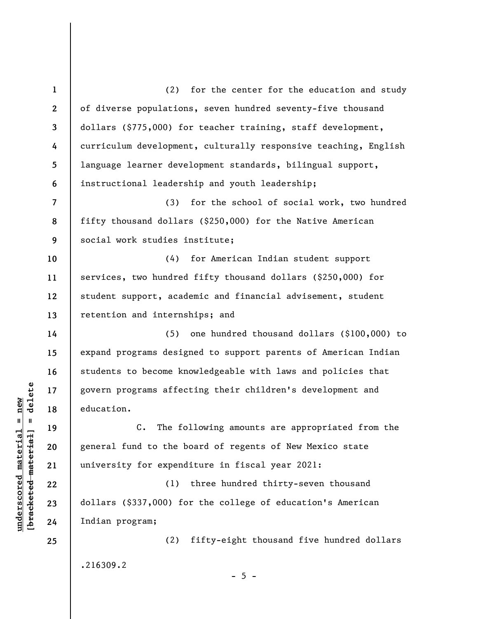**1 2 3 4 5 6 7 8 9 10 11 12 13 14 15 16 17 18 19 20 21 22 23 24 25**  (2) for the center for the education and study of diverse populations, seven hundred seventy-five thousand dollars (\$775,000) for teacher training, staff development, curriculum development, culturally responsive teaching, English language learner development standards, bilingual support, instructional leadership and youth leadership; (3) for the school of social work, two hundred fifty thousand dollars (\$250,000) for the Native American social work studies institute; (4) for American Indian student support services, two hundred fifty thousand dollars (\$250,000) for student support, academic and financial advisement, student retention and internships; and (5) one hundred thousand dollars (\$100,000) to expand programs designed to support parents of American Indian students to become knowledgeable with laws and policies that govern programs affecting their children's development and education. C. The following amounts are appropriated from the general fund to the board of regents of New Mexico state university for expenditure in fiscal year 2021: (1) three hundred thirty-seven thousand dollars (\$337,000) for the college of education's American Indian program; (2) fifty-eight thousand five hundred dollars .216309.2  $- 5 -$ 

 $\frac{1}{2}$  intereted material = delete **[bracketed material] = delete**  $underscored material = new$ **underscored material = new**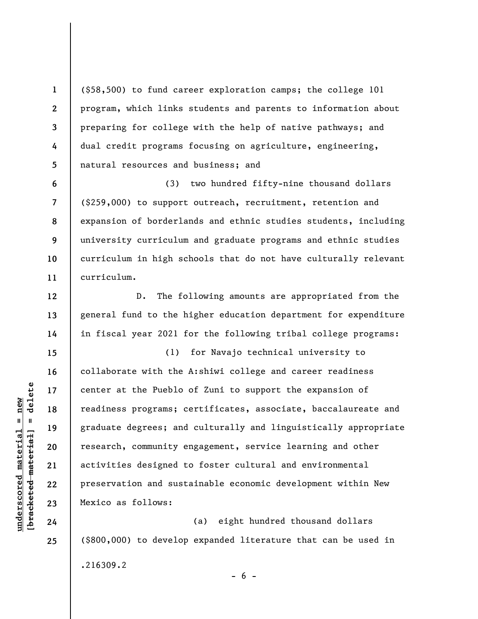(\$58,500) to fund career exploration camps; the college 101 program, which links students and parents to information about preparing for college with the help of native pathways; and dual credit programs focusing on agriculture, engineering, natural resources and business; and

(3) two hundred fifty-nine thousand dollars (\$259,000) to support outreach, recruitment, retention and expansion of borderlands and ethnic studies students, including university curriculum and graduate programs and ethnic studies curriculum in high schools that do not have culturally relevant curriculum.

D. The following amounts are appropriated from the general fund to the higher education department for expenditure in fiscal year 2021 for the following tribal college programs:

(1) for Navajo technical university to collaborate with the A:shiwi college and career readiness center at the Pueblo of Zuni to support the expansion of readiness programs; certificates, associate, baccalaureate and graduate degrees; and culturally and linguistically appropriate research, community engagement, service learning and other activities designed to foster cultural and environmental preservation and sustainable economic development within New Mexico as follows:

(a) eight hundred thousand dollars (\$800,000) to develop expanded literature that can be used in .216309.2  $- 6 -$ 

 $\frac{1}{2}$  intereted material = delete **[bracketed material] = delete**  $underscored material = new$ **underscored material = new**

**1** 

**2** 

**3** 

**4** 

**5** 

**6** 

**7** 

**8** 

**9** 

**10** 

**11** 

**12** 

**13** 

**14** 

**15** 

**16** 

**17** 

**18** 

**19** 

**20** 

**21** 

**22** 

**23** 

**24** 

**25**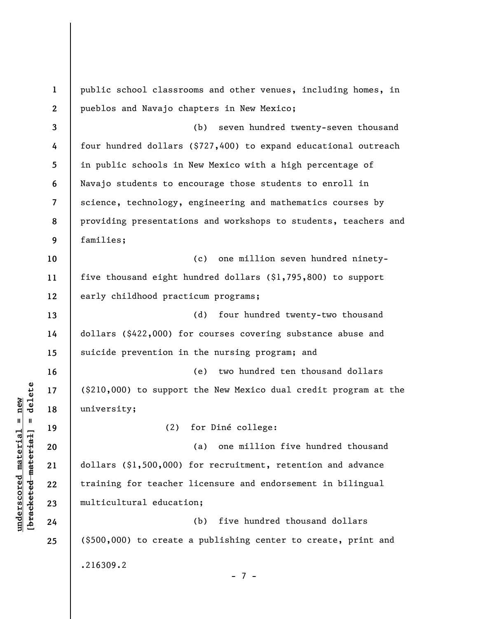**1 2 3 4 5 6 7 8 9 10 11 12 13 14 15 16 17 18 19 20 21 22 23 24 25**  public school classrooms and other venues, including homes, in pueblos and Navajo chapters in New Mexico; (b) seven hundred twenty-seven thousand four hundred dollars (\$727,400) to expand educational outreach in public schools in New Mexico with a high percentage of Navajo students to encourage those students to enroll in science, technology, engineering and mathematics courses by providing presentations and workshops to students, teachers and families; (c) one million seven hundred ninetyfive thousand eight hundred dollars (\$1,795,800) to support early childhood practicum programs; (d) four hundred twenty-two thousand dollars (\$422,000) for courses covering substance abuse and suicide prevention in the nursing program; and (e) two hundred ten thousand dollars (\$210,000) to support the New Mexico dual credit program at the university; (2) for Diné college: (a) one million five hundred thousand dollars (\$1,500,000) for recruitment, retention and advance training for teacher licensure and endorsement in bilingual multicultural education; (b) five hundred thousand dollars (\$500,000) to create a publishing center to create, print and .216309.2 - 7 -

**underscored material = new [bracketed material] = delete**

 $\frac{1}{2}$  intereted material = delete  $underscored material = new$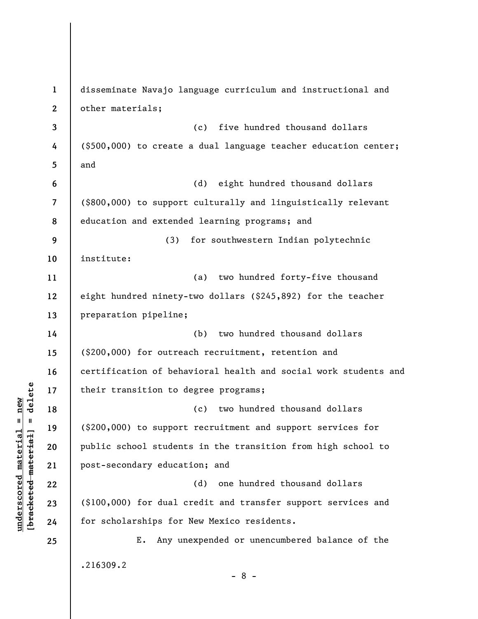**1 2 3 4 5 6 7 8 9 10 11 12 13 14 15 16 17 18 19 20 21 22 23 24 25**  disseminate Navajo language curriculum and instructional and other materials; (c) five hundred thousand dollars (\$500,000) to create a dual language teacher education center; and (d) eight hundred thousand dollars (\$800,000) to support culturally and linguistically relevant education and extended learning programs; and (3) for southwestern Indian polytechnic institute: (a) two hundred forty-five thousand eight hundred ninety-two dollars (\$245,892) for the teacher preparation pipeline; (b) two hundred thousand dollars (\$200,000) for outreach recruitment, retention and certification of behavioral health and social work students and their transition to degree programs; (c) two hundred thousand dollars (\$200,000) to support recruitment and support services for public school students in the transition from high school to post-secondary education; and (d) one hundred thousand dollars (\$100,000) for dual credit and transfer support services and for scholarships for New Mexico residents. E. Any unexpended or unencumbered balance of the .216309.2 - 8 -

**underscored material = new [bracketed material] = delete**

 $\frac{1}{2}$  intereted material = delete  $underscored material = new$